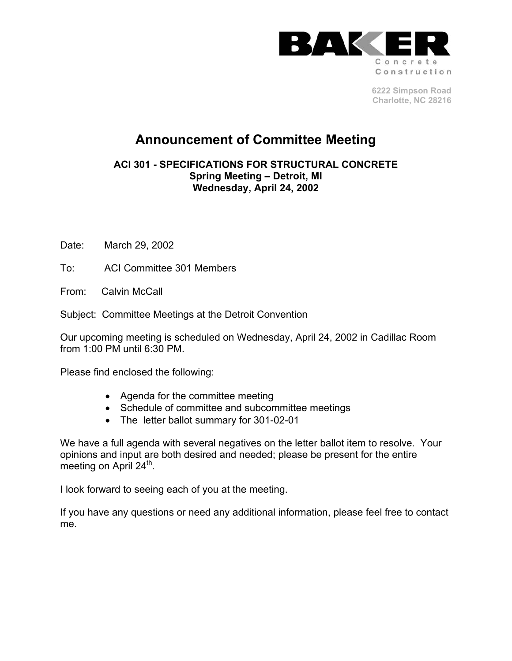

**6222 Simpson Road Charlotte, NC 28216** 

# **Announcement of Committee Meeting**

**ACI 301 - SPECIFICATIONS FOR STRUCTURAL CONCRETE Spring Meeting – Detroit, MI Wednesday, April 24, 2002**

Date: March 29, 2002

To: ACI Committee 301 Members

From: Calvin McCall

Subject: Committee Meetings at the Detroit Convention

Our upcoming meeting is scheduled on Wednesday, April 24, 2002 in Cadillac Room from 1:00 PM until 6:30 PM.

Please find enclosed the following:

- Agenda for the committee meeting
- Schedule of committee and subcommittee meetings
- The letter ballot summary for 301-02-01

We have a full agenda with several negatives on the letter ballot item to resolve. Your opinions and input are both desired and needed; please be present for the entire meeting on April 24<sup>th</sup>.

I look forward to seeing each of you at the meeting.

If you have any questions or need any additional information, please feel free to contact me.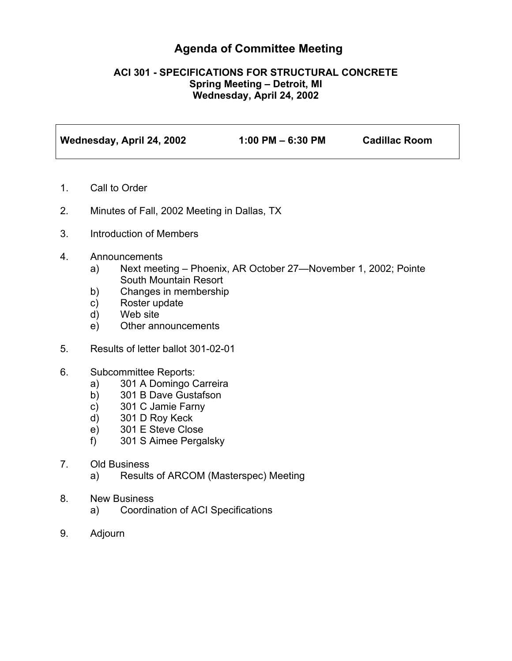## **Agenda of Committee Meeting**

#### **ACI 301 - SPECIFICATIONS FOR STRUCTURAL CONCRETE Spring Meeting – Detroit, MI Wednesday, April 24, 2002**

| Wednesday, April 24, 2002 | $1:00$ PM $-6:30$ PM | <b>Cadillac Room</b> |
|---------------------------|----------------------|----------------------|
|                           |                      |                      |

- 1. Call to Order
- 2. Minutes of Fall, 2002 Meeting in Dallas, TX
- 3. Introduction of Members
- 4. Announcements
	- a) Next meeting Phoenix, AR October 27—November 1, 2002; Pointe South Mountain Resort
	- b) Changes in membership
	- c) Roster update
	- d) Web site
	- e) Other announcements
- 5. Results of letter ballot 301-02-01
- 6. Subcommittee Reports:
	- a) 301 A Domingo Carreira
	- b) 301 B Dave Gustafson
	- c) 301 C Jamie Farny
	- d) 301 D Roy Keck
	- e) 301 E Steve Close
	- f) 301 S Aimee Pergalsky
- 7. Old Business
	- a) Results of ARCOM (Masterspec) Meeting
- 8. New Business
	- a) Coordination of ACI Specifications
- 9. Adjourn